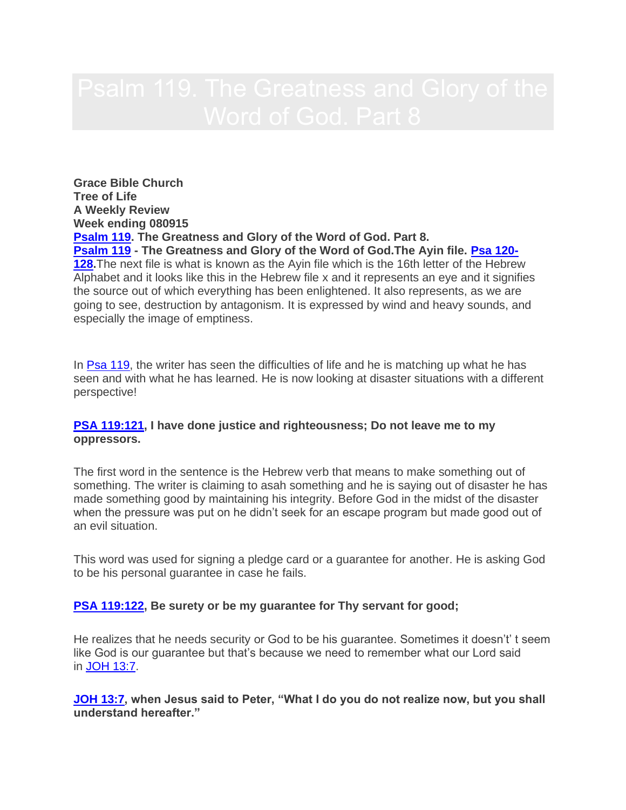**Grace Bible Church Tree of Life A Weekly Review Week ending 080915 [Psalm 119.](http://www.bibleserver.com/text/NIV/Psalm119) The Greatness and Glory of the Word of God. Part 8. [Psalm 119](http://www.bibleserver.com/text/NIV/Psalm119) - The Greatness and Glory of the Word of God.The Ayin file. [Psa 120-](http://www.bibleserver.com/text/NIV/Psalm120%3A7) [128.](http://www.bibleserver.com/text/NIV/Psalm120%3A7)**The next file is what is known as the Ayin file which is the 16th letter of the Hebrew Alphabet and it looks like this in the Hebrew file x and it represents an eye and it signifies the source out of which everything has been enlightened. It also represents, as we are going to see, destruction by antagonism. It is expressed by wind and heavy sounds, and especially the image of emptiness.

In [Psa 119,](http://www.bibleserver.com/text/NIV/Psalm119) the writer has seen the difficulties of life and he is matching up what he has seen and with what he has learned. He is now looking at disaster situations with a different perspective!

### **[PSA 119:121,](http://www.bibleserver.com/text/NIV/Psalm119%3A121) I have done justice and righteousness; Do not leave me to my oppressors.**

The first word in the sentence is the Hebrew verb that means to make something out of something. The writer is claiming to asah something and he is saying out of disaster he has made something good by maintaining his integrity. Before God in the midst of the disaster when the pressure was put on he didn't seek for an escape program but made good out of an evil situation.

This word was used for signing a pledge card or a guarantee for another. He is asking God to be his personal guarantee in case he fails.

### **[PSA 119:122,](http://www.bibleserver.com/text/NIV/Psalm119%3A122) Be surety or be my guarantee for Thy servant for good;**

He realizes that he needs security or God to be his guarantee. Sometimes it doesn't' t seem like God is our guarantee but that's because we need to remember what our Lord said in [JOH 13:7.](http://www.bibleserver.com/text/NIV/John13%3A7)

**[JOH 13:7,](http://www.bibleserver.com/text/NIV/John13%3A7) when Jesus said to Peter, "What I do you do not realize now, but you shall understand hereafter."**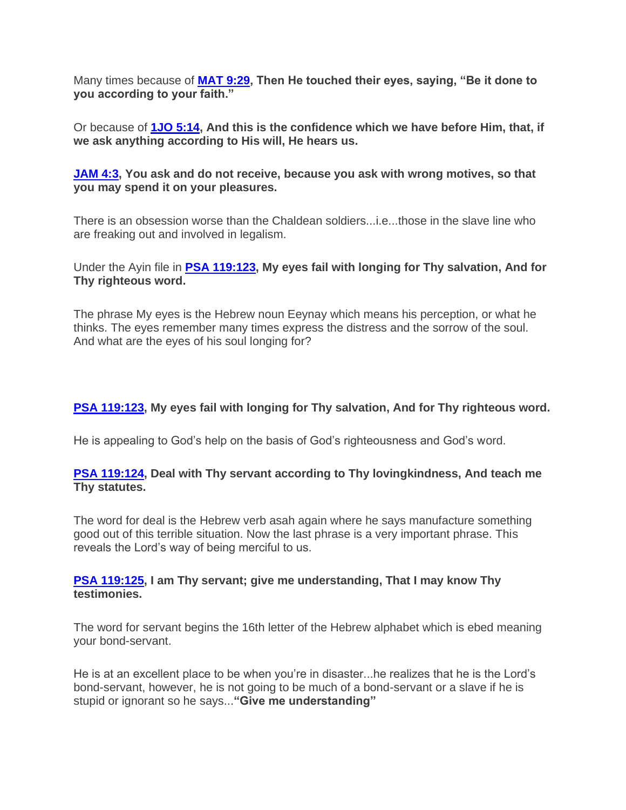Many times because of **[MAT 9:29,](http://www.bibleserver.com/text/NIV/Matthew9%3A29) Then He touched their eyes, saying, "Be it done to you according to your faith."**

Or because of **[1JO 5:14,](http://www.bibleserver.com/text/NIV/1John5%3A14) And this is the confidence which we have before Him, that, if we ask anything according to His will, He hears us.**

**[JAM 4:3,](http://www.bibleserver.com/text/NIV/James4%3A3) You ask and do not receive, because you ask with wrong motives, so that you may spend it on your pleasures.**

There is an obsession worse than the Chaldean soldiers...i.e...those in the slave line who are freaking out and involved in legalism.

Under the Ayin file in **[PSA 119:123,](http://www.bibleserver.com/text/NIV/Psalm119%3A123) My eyes fail with longing for Thy salvation, And for Thy righteous word.**

The phrase My eyes is the Hebrew noun Eeynay which means his perception, or what he thinks. The eyes remember many times express the distress and the sorrow of the soul. And what are the eyes of his soul longing for?

# **[PSA 119:123,](http://www.bibleserver.com/text/NIV/Psalm119%3A123) My eyes fail with longing for Thy salvation, And for Thy righteous word.**

He is appealing to God's help on the basis of God's righteousness and God's word.

### **[PSA 119:124,](http://www.bibleserver.com/text/NIV/Psalm119%3A124) Deal with Thy servant according to Thy lovingkindness, And teach me Thy statutes.**

The word for deal is the Hebrew verb asah again where he says manufacture something good out of this terrible situation. Now the last phrase is a very important phrase. This reveals the Lord's way of being merciful to us.

# **[PSA 119:125,](http://www.bibleserver.com/text/NIV/Psalm119%3A125) I am Thy servant; give me understanding, That I may know Thy testimonies.**

The word for servant begins the 16th letter of the Hebrew alphabet which is ebed meaning your bond-servant.

He is at an excellent place to be when you're in disaster...he realizes that he is the Lord's bond-servant, however, he is not going to be much of a bond-servant or a slave if he is stupid or ignorant so he says...**"Give me understanding"**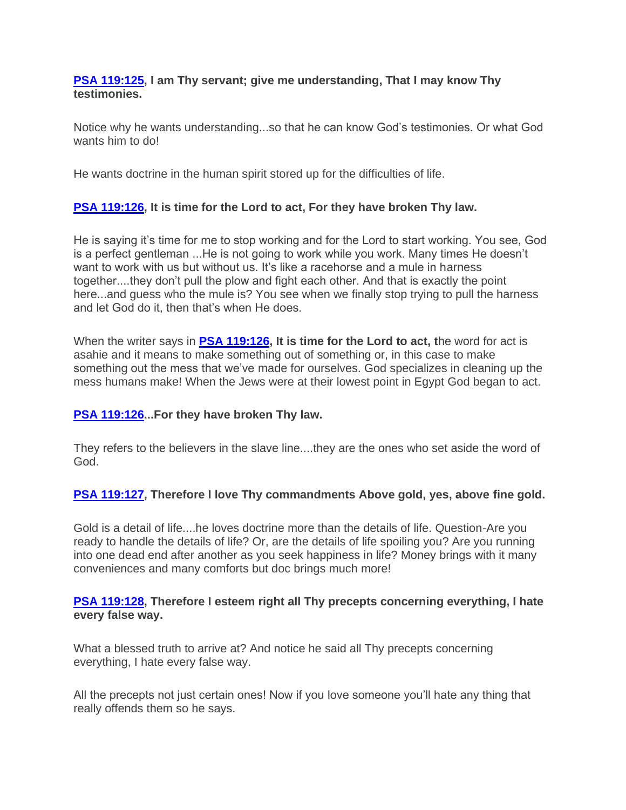# **[PSA 119:125,](http://www.bibleserver.com/text/NIV/Psalm119%3A125) I am Thy servant; give me understanding, That I may know Thy testimonies.**

Notice why he wants understanding...so that he can know God's testimonies. Or what God wants him to do!

He wants doctrine in the human spirit stored up for the difficulties of life.

# **[PSA 119:126,](http://www.bibleserver.com/text/NIV/Psalm119%3A126) It is time for the Lord to act, For they have broken Thy law.**

He is saying it's time for me to stop working and for the Lord to start working. You see, God is a perfect gentleman ...He is not going to work while you work. Many times He doesn't want to work with us but without us. It's like a racehorse and a mule in harness together....they don't pull the plow and fight each other. And that is exactly the point here...and guess who the mule is? You see when we finally stop trying to pull the harness and let God do it, then that's when He does.

When the writer says in **[PSA 119:126,](http://www.bibleserver.com/text/NIV/Psalm119%3A126) It is time for the Lord to act, t**he word for act is asahie and it means to make something out of something or, in this case to make something out the mess that we've made for ourselves. God specializes in cleaning up the mess humans make! When the Jews were at their lowest point in Egypt God began to act.

# **[PSA 119:126.](http://www.bibleserver.com/text/NIV/Psalm119%3A126)..For they have broken Thy law.**

They refers to the believers in the slave line....they are the ones who set aside the word of God.

# **[PSA 119:127,](http://www.bibleserver.com/text/NIV/Psalm119%3A127) Therefore I love Thy commandments Above gold, yes, above fine gold.**

Gold is a detail of life....he loves doctrine more than the details of life. Question-Are you ready to handle the details of life? Or, are the details of life spoiling you? Are you running into one dead end after another as you seek happiness in life? Money brings with it many conveniences and many comforts but doc brings much more!

# **[PSA 119:128,](http://www.bibleserver.com/text/NIV/Psalm119%3A128) Therefore I esteem right all Thy precepts concerning everything, I hate every false way.**

What a blessed truth to arrive at? And notice he said all Thy precepts concerning everything, I hate every false way.

All the precepts not just certain ones! Now if you love someone you'll hate any thing that really offends them so he says.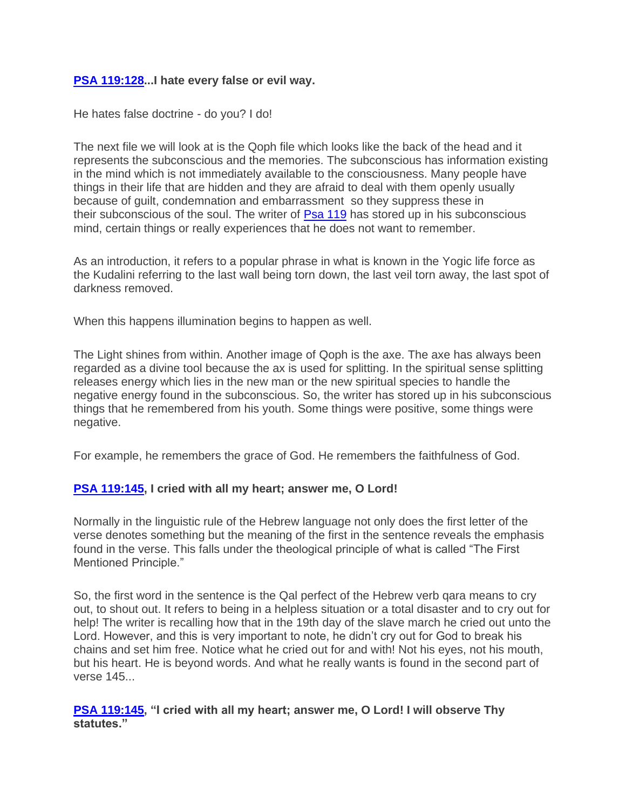# **[PSA 119:128.](http://www.bibleserver.com/text/NIV/Psalm119%3A128)..I hate every false or evil way.**

He hates false doctrine - do you? I do!

The next file we will look at is the Qoph file which looks like the back of the head and it represents the subconscious and the memories. The subconscious has information existing in the mind which is not immediately available to the consciousness. Many people have things in their life that are hidden and they are afraid to deal with them openly usually because of guilt, condemnation and embarrassment so they suppress these in their subconscious of the soul. The writer of [Psa 119](http://www.bibleserver.com/text/NIV/Psalm119) has stored up in his subconscious mind, certain things or really experiences that he does not want to remember.

As an introduction, it refers to a popular phrase in what is known in the Yogic life force as the Kudalini referring to the last wall being torn down, the last veil torn away, the last spot of darkness removed.

When this happens illumination begins to happen as well.

The Light shines from within. Another image of Qoph is the axe. The axe has always been regarded as a divine tool because the ax is used for splitting. In the spiritual sense splitting releases energy which lies in the new man or the new spiritual species to handle the negative energy found in the subconscious. So, the writer has stored up in his subconscious things that he remembered from his youth. Some things were positive, some things were negative.

For example, he remembers the grace of God. He remembers the faithfulness of God.

### **[PSA 119:145,](http://www.bibleserver.com/text/NIV/Psalm119%3A145) I cried with all my heart; answer me, O Lord!**

Normally in the linguistic rule of the Hebrew language not only does the first letter of the verse denotes something but the meaning of the first in the sentence reveals the emphasis found in the verse. This falls under the theological principle of what is called "The First Mentioned Principle."

So, the first word in the sentence is the Qal perfect of the Hebrew verb qara means to cry out, to shout out. It refers to being in a helpless situation or a total disaster and to cry out for help! The writer is recalling how that in the 19th day of the slave march he cried out unto the Lord. However, and this is very important to note, he didn't cry out for God to break his chains and set him free. Notice what he cried out for and with! Not his eyes, not his mouth, but his heart. He is beyond words. And what he really wants is found in the second part of verse 145...

# **[PSA 119:145,](http://www.bibleserver.com/text/NIV/Psalm119%3A145) "I cried with all my heart; answer me, O Lord! I will observe Thy statutes."**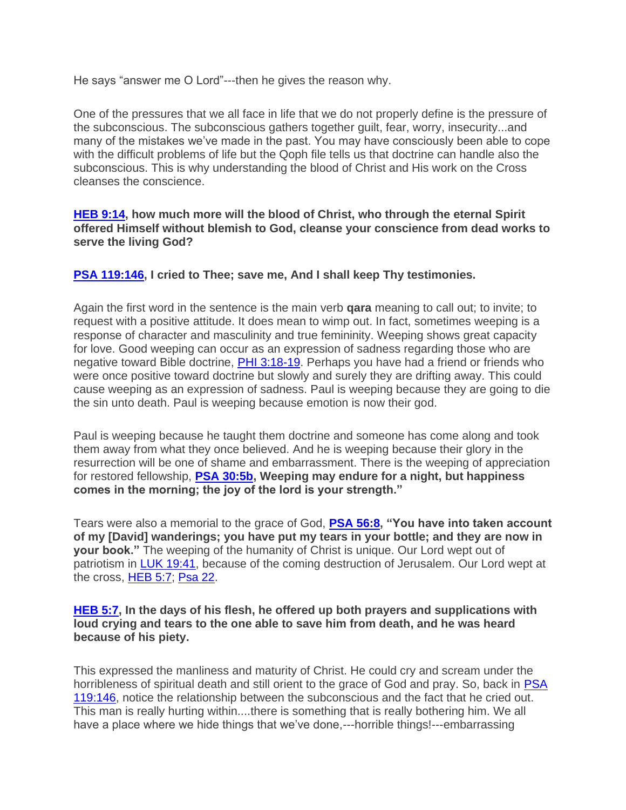He says "answer me O Lord"---then he gives the reason why.

One of the pressures that we all face in life that we do not properly define is the pressure of the subconscious. The subconscious gathers together guilt, fear, worry, insecurity...and many of the mistakes we've made in the past. You may have consciously been able to cope with the difficult problems of life but the Qoph file tells us that doctrine can handle also the subconscious. This is why understanding the blood of Christ and His work on the Cross cleanses the conscience.

### **[HEB 9:14,](http://www.bibleserver.com/text/NIV/Hebrews9%3A14) how much more will the blood of Christ, who through the eternal Spirit offered Himself without blemish to God, cleanse your conscience from dead works to serve the living God?**

# **[PSA 119:146,](http://www.bibleserver.com/text/NIV/Psalm119%3A146) I cried to Thee; save me, And I shall keep Thy testimonies.**

Again the first word in the sentence is the main verb **qara** meaning to call out; to invite; to request with a positive attitude. It does mean to wimp out. In fact, sometimes weeping is a response of character and masculinity and true femininity. Weeping shows great capacity for love. Good weeping can occur as an expression of sadness regarding those who are negative toward Bible doctrine, [PHI 3:18-19.](http://www.bibleserver.com/text/NIV/Philippians3%3A18-19) Perhaps you have had a friend or friends who were once positive toward doctrine but slowly and surely they are drifting away. This could cause weeping as an expression of sadness. Paul is weeping because they are going to die the sin unto death. Paul is weeping because emotion is now their god.

Paul is weeping because he taught them doctrine and someone has come along and took them away from what they once believed. And he is weeping because their glory in the resurrection will be one of shame and embarrassment. There is the weeping of appreciation for restored fellowship, **[PSA 30:5b,](http://www.bibleserver.com/text/NIV/Psalm30%3A5) Weeping may endure for a night, but happiness comes in the morning; the joy of the lord is your strength."**

Tears were also a memorial to the grace of God, **[PSA 56:8,](http://www.bibleserver.com/text/NIV/Psalm56%3A8) "You have into taken account of my [David] wanderings; you have put my tears in your bottle; and they are now in your book."** The weeping of the humanity of Christ is unique. Our Lord wept out of patriotism in [LUK 19:41,](http://www.bibleserver.com/text/NIV/Luke19%3A41) because of the coming destruction of Jerusalem. Our Lord wept at the cross, [HEB 5:7;](http://www.bibleserver.com/text/NIV/Hebrews5%3A7) [Psa 22.](http://www.bibleserver.com/text/NIV/Psalm22)

### **[HEB 5:7,](http://www.bibleserver.com/text/NIV/Hebrews5%3A7) In the days of his flesh, he offered up both prayers and supplications with loud crying and tears to the one able to save him from death, and he was heard because of his piety.**

This expressed the manliness and maturity of Christ. He could cry and scream under the horribleness of spiritual death and still orient to the grace of God and pray. So, back in PSA [119:146,](http://www.bibleserver.com/text/NIV/Psalm119%3A146) notice the relationship between the subconscious and the fact that he cried out. This man is really hurting within....there is something that is really bothering him. We all have a place where we hide things that we've done,---horrible things!---embarrassing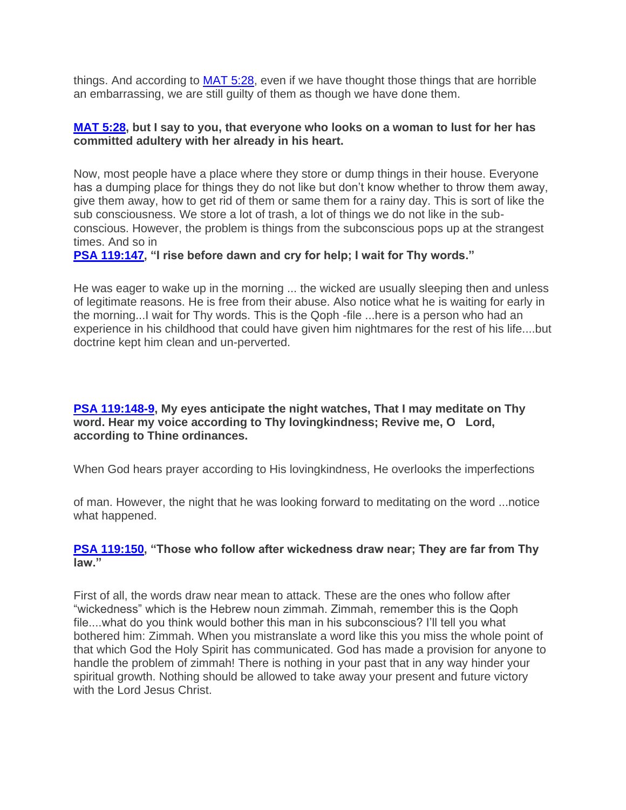things. And according to [MAT 5:28,](http://www.bibleserver.com/text/NIV/Matthew5%3A28) even if we have thought those things that are horrible an embarrassing, we are still guilty of them as though we have done them.

### **[MAT 5:28,](http://www.bibleserver.com/text/NIV/Matthew5%3A28) but I say to you, that everyone who looks on a woman to lust for her has committed adultery with her already in his heart.**

Now, most people have a place where they store or dump things in their house. Everyone has a dumping place for things they do not like but don't know whether to throw them away, give them away, how to get rid of them or same them for a rainy day. This is sort of like the sub consciousness. We store a lot of trash, a lot of things we do not like in the subconscious. However, the problem is things from the subconscious pops up at the strangest times. And so in

**[PSA 119:147,](http://www.bibleserver.com/text/NIV/Psalm119%3A147) "I rise before dawn and cry for help; I wait for Thy words."**

He was eager to wake up in the morning ... the wicked are usually sleeping then and unless of legitimate reasons. He is free from their abuse. Also notice what he is waiting for early in the morning...I wait for Thy words. This is the Qoph -file ...here is a person who had an experience in his childhood that could have given him nightmares for the rest of his life....but doctrine kept him clean and un-perverted.

# **[PSA 119:148-9,](http://www.bibleserver.com/text/NIV/Psalm119%3A148-9) My eyes anticipate the night watches, That I may meditate on Thy word. Hear my voice according to Thy lovingkindness; Revive me, O Lord, according to Thine ordinances.**

When God hears prayer according to His lovingkindness, He overlooks the imperfections

of man. However, the night that he was looking forward to meditating on the word ...notice what happened.

# **[PSA 119:150,](http://www.bibleserver.com/text/NIV/Psalm119%3A150) "Those who follow after wickedness draw near; They are far from Thy law."**

First of all, the words draw near mean to attack. These are the ones who follow after "wickedness" which is the Hebrew noun zimmah. Zimmah, remember this is the Qoph file....what do you think would bother this man in his subconscious? I'll tell you what bothered him: Zimmah. When you mistranslate a word like this you miss the whole point of that which God the Holy Spirit has communicated. God has made a provision for anyone to handle the problem of zimmah! There is nothing in your past that in any way hinder your spiritual growth. Nothing should be allowed to take away your present and future victory with the Lord Jesus Christ.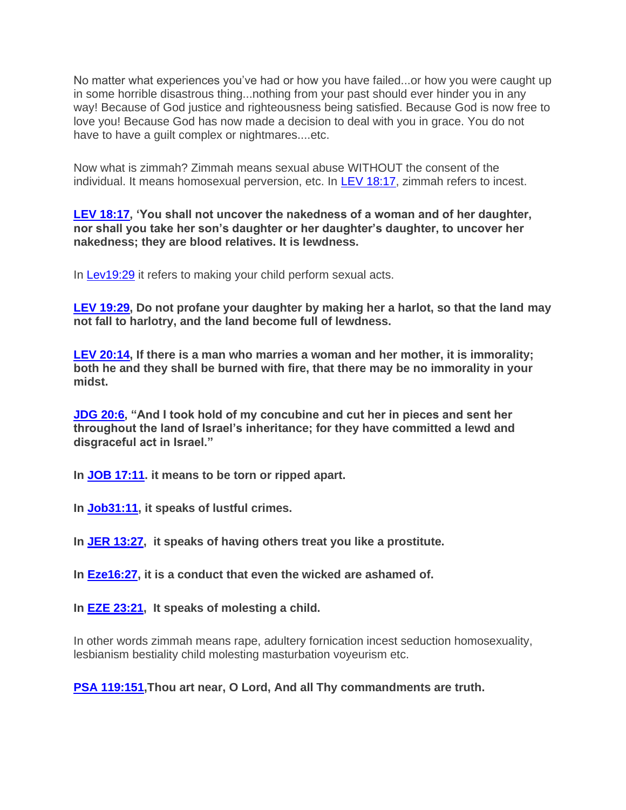No matter what experiences you've had or how you have failed...or how you were caught up in some horrible disastrous thing...nothing from your past should ever hinder you in any way! Because of God justice and righteousness being satisfied. Because God is now free to love you! Because God has now made a decision to deal with you in grace. You do not have to have a guilt complex or nightmares....etc.

Now what is zimmah? Zimmah means sexual abuse WITHOUT the consent of the individual. It means homosexual perversion, etc. In [LEV 18:17,](http://www.bibleserver.com/text/NIV/Leviticus18%3A17) zimmah refers to incest.

**[LEV 18:17,](http://www.bibleserver.com/text/NIV/Leviticus18%3A17) 'You shall not uncover the nakedness of a woman and of her daughter, nor shall you take her son's daughter or her daughter's daughter, to uncover her nakedness; they are blood relatives. It is lewdness.**

In **[Lev19:29](http://www.bibleserver.com/text/NIV/Leviticus19%3A29)** it refers to making your child perform sexual acts.

**[LEV 19:29,](http://www.bibleserver.com/text/NIV/Leviticus19%3A29) Do not profane your daughter by making her a harlot, so that the land may not fall to harlotry, and the land become full of lewdness.**

**[LEV 20:14,](http://www.bibleserver.com/text/NIV/Leviticus20%3A14) If there is a man who marries a woman and her mother, it is immorality; both he and they shall be burned with fire, that there may be no immorality in your midst.**

**[JDG 20:6,](http://www.bibleserver.com/text/NIV/Judges20%3A6) "And I took hold of my concubine and cut her in pieces and sent her throughout the land of Israel's inheritance; for they have committed a lewd and disgraceful act in Israel."**

**In [JOB 17:11.](http://www.bibleserver.com/text/NIV/Job17%3A11) it means to be torn or ripped apart.**

**In [Job31:11,](http://www.bibleserver.com/text/NIV/Job31%3A11) it speaks of lustful crimes.**

**In [JER 13:27,](http://www.bibleserver.com/text/NIV/Jeremiah13%3A27) it speaks of having others treat you like a prostitute.**

**In [Eze16:27,](http://www.bibleserver.com/text/NIV/Ezekiel16%3A27) it is a conduct that even the wicked are ashamed of.**

**In [EZE 23:21,](http://www.bibleserver.com/text/NIV/Ezekiel23%3A21) It speaks of molesting a child.**

In other words zimmah means rape, adultery fornication incest seduction homosexuality, lesbianism bestiality child molesting masturbation voyeurism etc.

**[PSA 119:151,](http://www.bibleserver.com/text/NIV/Psalm119%3A151)Thou art near, O Lord, And all Thy commandments are truth.**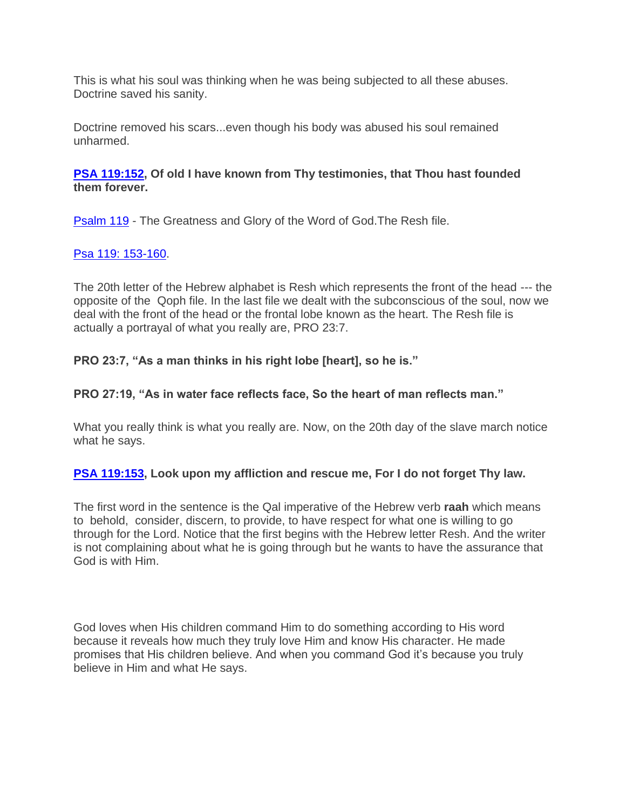This is what his soul was thinking when he was being subjected to all these abuses. Doctrine saved his sanity.

Doctrine removed his scars...even though his body was abused his soul remained unharmed.

# **[PSA 119:152,](http://www.bibleserver.com/text/NIV/Psalm119%3A152) Of old I have known from Thy testimonies, that Thou hast founded them forever.**

[Psalm 119](http://www.bibleserver.com/text/NIV/Psalm119) - The Greatness and Glory of the Word of God.The Resh file.

# [Psa 119: 153-160.](http://www.bibleserver.com/text/NIV/Psalm119%3A153-160)

The 20th letter of the Hebrew alphabet is Resh which represents the front of the head --- the opposite of the Qoph file. In the last file we dealt with the subconscious of the soul, now we deal with the front of the head or the frontal lobe known as the heart. The Resh file is actually a portrayal of what you really are, PRO 23:7.

# **PRO 23:7, "As a man thinks in his right lobe [heart], so he is."**

# **PRO 27:19, "As in water face reflects face, So the heart of man reflects man."**

What you really think is what you really are. Now, on the 20th day of the slave march notice what he says.

### **[PSA 119:153,](http://www.bibleserver.com/text/NIV/Psalm119%3A153) Look upon my affliction and rescue me, For I do not forget Thy law.**

The first word in the sentence is the Qal imperative of the Hebrew verb **raah** which means to behold, consider, discern, to provide, to have respect for what one is willing to go through for the Lord. Notice that the first begins with the Hebrew letter Resh. And the writer is not complaining about what he is going through but he wants to have the assurance that God is with Him.

God loves when His children command Him to do something according to His word because it reveals how much they truly love Him and know His character. He made promises that His children believe. And when you command God it's because you truly believe in Him and what He says.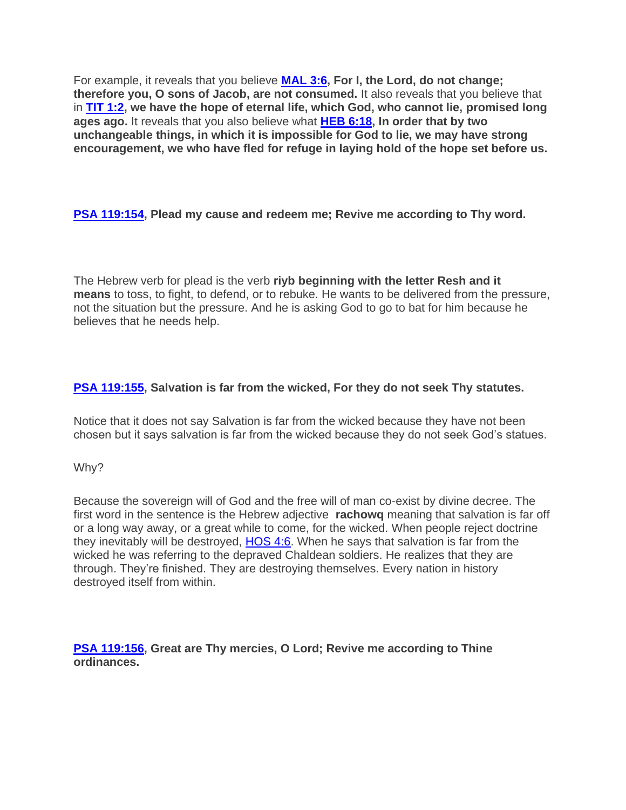For example, it reveals that you believe **[MAL 3:6,](http://www.bibleserver.com/text/NIV/Malachi3%3A6) For I, the Lord, do not change; therefore you, O sons of Jacob, are not consumed.** It also reveals that you believe that in **[TIT 1:2,](http://www.bibleserver.com/text/NIV/Titus1%3A2) we have the hope of eternal life, which God, who cannot lie, promised long ages ago.** It reveals that you also believe what **[HEB 6:18,](http://www.bibleserver.com/text/NIV/Hebrews6%3A18) In order that by two unchangeable things, in which it is impossible for God to lie, we may have strong encouragement, we who have fled for refuge in laying hold of the hope set before us.**

**[PSA 119:154,](http://www.bibleserver.com/text/NIV/Psalm119%3A154) Plead my cause and redeem me; Revive me according to Thy word.**

The Hebrew verb for plead is the verb **riyb beginning with the letter Resh and it means** to toss, to fight, to defend, or to rebuke. He wants to be delivered from the pressure, not the situation but the pressure. And he is asking God to go to bat for him because he believes that he needs help.

# **[PSA 119:155,](http://www.bibleserver.com/text/NIV/Psalm119%3A155) Salvation is far from the wicked, For they do not seek Thy statutes.**

Notice that it does not say Salvation is far from the wicked because they have not been chosen but it says salvation is far from the wicked because they do not seek God's statues.

Why?

Because the sovereign will of God and the free will of man co-exist by divine decree. The first word in the sentence is the Hebrew adjective **rachowq** meaning that salvation is far off or a long way away, or a great while to come, for the wicked. When people reject doctrine they inevitably will be destroyed, [HOS 4:6.](http://www.bibleserver.com/text/NIV/Hosea4%3A6) When he says that salvation is far from the wicked he was referring to the depraved Chaldean soldiers. He realizes that they are through. They're finished. They are destroying themselves. Every nation in history destroyed itself from within.

**[PSA 119:156,](http://www.bibleserver.com/text/NIV/Psalm119%3A156) Great are Thy mercies, O Lord; Revive me according to Thine ordinances.**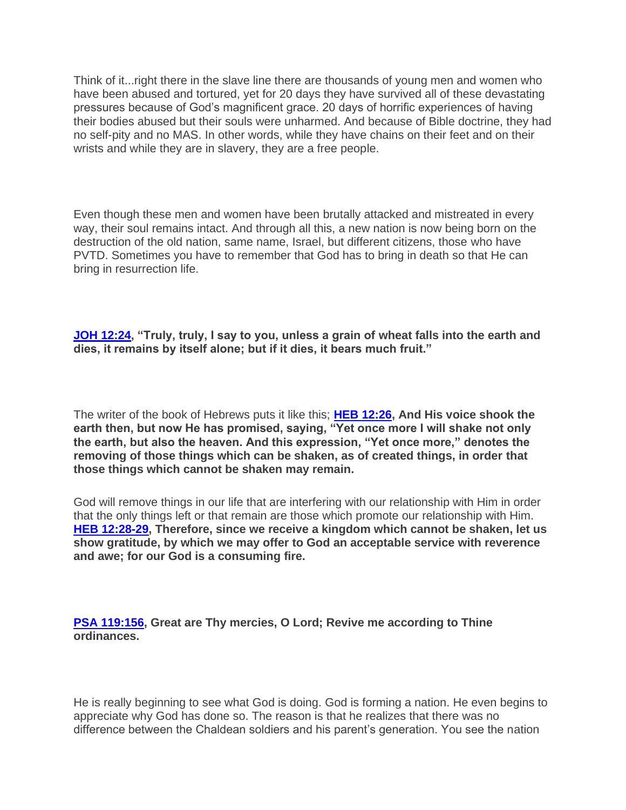Think of it...right there in the slave line there are thousands of young men and women who have been abused and tortured, yet for 20 days they have survived all of these devastating pressures because of God's magnificent grace. 20 days of horrific experiences of having their bodies abused but their souls were unharmed. And because of Bible doctrine, they had no self-pity and no MAS. In other words, while they have chains on their feet and on their wrists and while they are in slavery, they are a free people.

Even though these men and women have been brutally attacked and mistreated in every way, their soul remains intact. And through all this, a new nation is now being born on the destruction of the old nation, same name, Israel, but different citizens, those who have PVTD. Sometimes you have to remember that God has to bring in death so that He can bring in resurrection life.

**[JOH 12:24,](http://www.bibleserver.com/text/NIV/John12%3A24) "Truly, truly, I say to you, unless a grain of wheat falls into the earth and dies, it remains by itself alone; but if it dies, it bears much fruit."**

The writer of the book of Hebrews puts it like this; **[HEB 12:26,](http://www.bibleserver.com/text/NIV/Hebrews12%3A26) And His voice shook the earth then, but now He has promised, saying, "Yet once more I will shake not only the earth, but also the heaven. And this expression, "Yet once more," denotes the removing of those things which can be shaken, as of created things, in order that those things which cannot be shaken may remain.**

God will remove things in our life that are interfering with our relationship with Him in order that the only things left or that remain are those which promote our relationship with Him. **[HEB 12:28-29,](http://www.bibleserver.com/text/NIV/Hebrews12%3A28-29) Therefore, since we receive a kingdom which cannot be shaken, let us show gratitude, by which we may offer to God an acceptable service with reverence and awe; for our God is a consuming fire.**

**[PSA 119:156,](http://www.bibleserver.com/text/NIV/Psalm119%3A156) Great are Thy mercies, O Lord; Revive me according to Thine ordinances.**

He is really beginning to see what God is doing. God is forming a nation. He even begins to appreciate why God has done so. The reason is that he realizes that there was no difference between the Chaldean soldiers and his parent's generation. You see the nation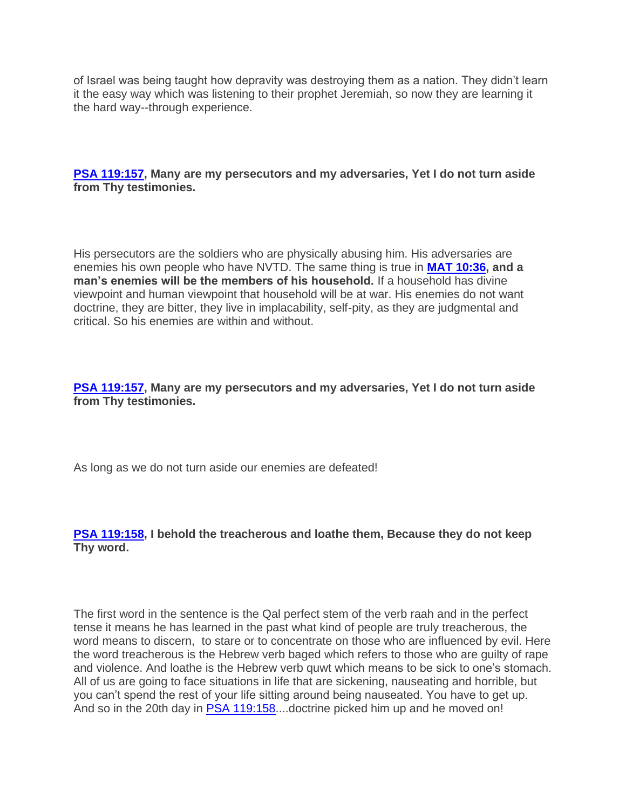of Israel was being taught how depravity was destroying them as a nation. They didn't learn it the easy way which was listening to their prophet Jeremiah, so now they are learning it the hard way--through experience.

**[PSA 119:157,](http://www.bibleserver.com/text/NIV/Psalm119%3A157) Many are my persecutors and my adversaries, Yet I do not turn aside from Thy testimonies.**

His persecutors are the soldiers who are physically abusing him. His adversaries are enemies his own people who have NVTD. The same thing is true in **[MAT 10:36,](http://www.bibleserver.com/text/NIV/Matthew10%3A36) and a man's enemies will be the members of his household.** If a household has divine viewpoint and human viewpoint that household will be at war. His enemies do not want doctrine, they are bitter, they live in implacability, self-pity, as they are judgmental and critical. So his enemies are within and without.

**[PSA 119:157,](http://www.bibleserver.com/text/NIV/Psalm119%3A157) Many are my persecutors and my adversaries, Yet I do not turn aside from Thy testimonies.**

As long as we do not turn aside our enemies are defeated!

**[PSA 119:158,](http://www.bibleserver.com/text/NIV/Psalm119%3A158) I behold the treacherous and loathe them, Because they do not keep Thy word.**

The first word in the sentence is the Qal perfect stem of the verb raah and in the perfect tense it means he has learned in the past what kind of people are truly treacherous, the word means to discern, to stare or to concentrate on those who are influenced by evil. Here the word treacherous is the Hebrew verb baged which refers to those who are guilty of rape and violence. And loathe is the Hebrew verb quwt which means to be sick to one's stomach. All of us are going to face situations in life that are sickening, nauseating and horrible, but you can't spend the rest of your life sitting around being nauseated. You have to get up. And so in the 20th day in **[PSA 119:158.](http://www.bibleserver.com/text/NIV/Psalm119%3A158)...doctrine picked him up and he moved on!**